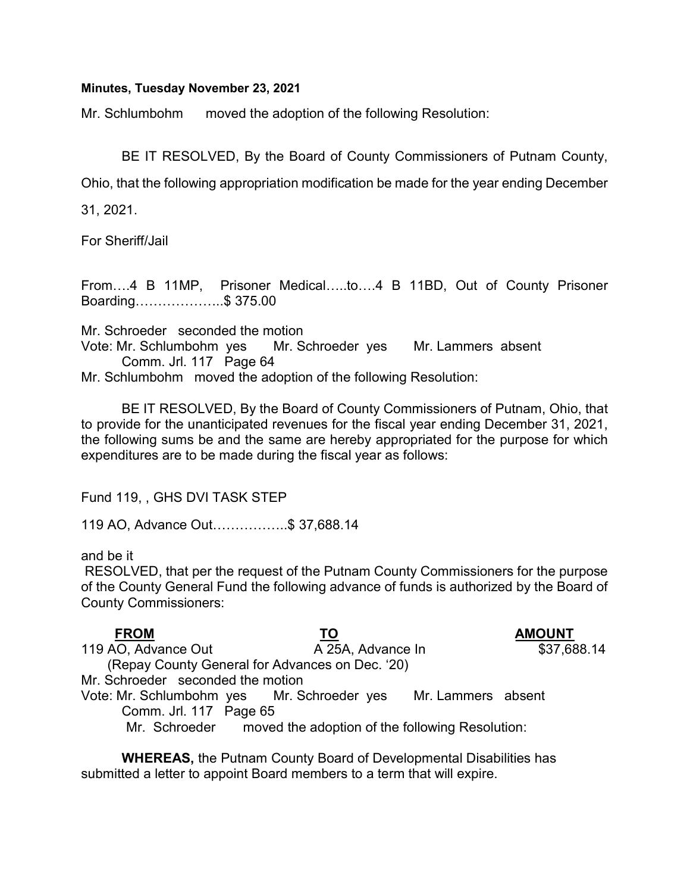## Minutes, Tuesday November 23, 2021

Mr. Schlumbohm moved the adoption of the following Resolution:

BE IT RESOLVED, By the Board of County Commissioners of Putnam County,

Ohio, that the following appropriation modification be made for the year ending December

31, 2021.

For Sheriff/Jail

From….4 B 11MP, Prisoner Medical…..to….4 B 11BD, Out of County Prisoner Boarding………………..\$ 375.00

Mr. Schroeder seconded the motion Vote: Mr. Schlumbohm yes Mr. Schroeder yes Mr. Lammers absent Comm. Jrl. 117 Page 64 Mr. Schlumbohm moved the adoption of the following Resolution:

 BE IT RESOLVED, By the Board of County Commissioners of Putnam, Ohio, that to provide for the unanticipated revenues for the fiscal year ending December 31, 2021, the following sums be and the same are hereby appropriated for the purpose for which expenditures are to be made during the fiscal year as follows:

Fund 119, , GHS DVI TASK STEP

119 AO, Advance Out……………..\$ 37,688.14

and be it

 RESOLVED, that per the request of the Putnam County Commissioners for the purpose of the County General Fund the following advance of funds is authorized by the Board of County Commissioners:

| <b>FROM</b>                                     | <u>TO</u>                                                     | <b>AMOUNT</b> |  |  |  |
|-------------------------------------------------|---------------------------------------------------------------|---------------|--|--|--|
| 119 AO, Advance Out                             | A 25A, Advance In                                             | \$37,688.14   |  |  |  |
| (Repay County General for Advances on Dec. '20) |                                                               |               |  |  |  |
| Mr. Schroeder seconded the motion               |                                                               |               |  |  |  |
|                                                 | Vote: Mr. Schlumbohm yes Mr. Schroeder yes Mr. Lammers absent |               |  |  |  |
| Comm. Jrl. 117 Page 65                          |                                                               |               |  |  |  |
|                                                 | Mr. Schroeder moved the adoption of the following Resolution: |               |  |  |  |

WHEREAS, the Putnam County Board of Developmental Disabilities has submitted a letter to appoint Board members to a term that will expire.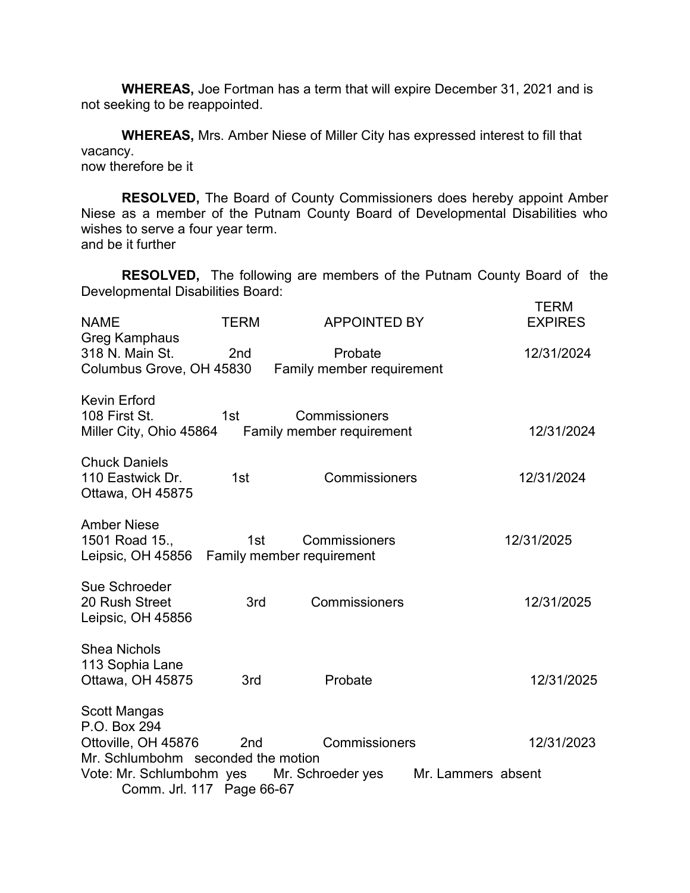WHEREAS, Joe Fortman has a term that will expire December 31, 2021 and is not seeking to be reappointed.

WHEREAS, Mrs. Amber Niese of Miller City has expressed interest to fill that vacancy.

now therefore be it

RESOLVED, The Board of County Commissioners does hereby appoint Amber Niese as a member of the Putnam County Board of Developmental Disabilities who wishes to serve a four year term. and be it further

RESOLVED, The following are members of the Putnam County Board of the Developmental Disabilities Board:

| <b>NAME</b>                                                                                      | <b>TERM</b>     | <b>APPOINTED BY</b>                                                | <b>TERM</b><br><b>EXPIRES</b> |  |
|--------------------------------------------------------------------------------------------------|-----------------|--------------------------------------------------------------------|-------------------------------|--|
| <b>Greg Kamphaus</b><br>318 N. Main St.<br>Columbus Grove, OH 45830                              | 2 <sub>nd</sub> | Probate<br>Family member requirement                               | 12/31/2024                    |  |
| <b>Kevin Erford</b><br>108 First St.                                                             | 1st             | Commissioners<br>Miller City, Ohio 45864 Family member requirement | 12/31/2024                    |  |
| <b>Chuck Daniels</b><br>110 Eastwick Dr.<br>Ottawa, OH 45875                                     | 1st             | Commissioners                                                      | 12/31/2024                    |  |
| <b>Amber Niese</b><br>1501 Road 15.,<br>Leipsic, OH 45856 Family member requirement              | 1st             | Commissioners                                                      | 12/31/2025                    |  |
| Sue Schroeder<br>20 Rush Street<br>Leipsic, OH 45856                                             | 3rd             | Commissioners                                                      | 12/31/2025                    |  |
| <b>Shea Nichols</b><br>113 Sophia Lane<br>Ottawa, OH 45875                                       | 3rd             | Probate                                                            | 12/31/2025                    |  |
| <b>Scott Mangas</b><br>P.O. Box 294<br>Ottoville, OH 45876<br>Mr. Schlumbohm seconded the motion | 2 <sub>nd</sub> | Commissioners                                                      | 12/31/2023                    |  |
| Mr. Schroeder yes<br>Vote: Mr. Schlumbohm yes<br>Mr. Lammers absent<br>Comm. Jrl. 117 Page 66-67 |                 |                                                                    |                               |  |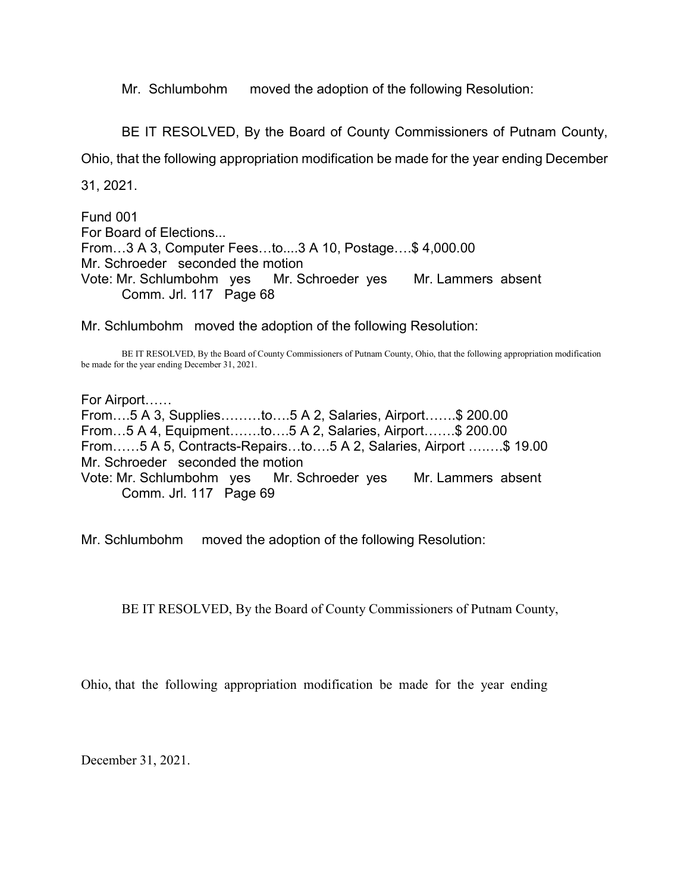Mr. Schlumbohm moved the adoption of the following Resolution:

BE IT RESOLVED, By the Board of County Commissioners of Putnam County,

Ohio, that the following appropriation modification be made for the year ending December

31, 2021.

Fund 001 For Board of Elections... From…3 A 3, Computer Fees…to....3 A 10, Postage….\$ 4,000.00 Mr. Schroeder seconded the motion Vote: Mr. Schlumbohm yes Mr. Schroeder yes Mr. Lammers absent Comm. Jrl. 117 Page 68

Mr. Schlumbohm moved the adoption of the following Resolution:

 BE IT RESOLVED, By the Board of County Commissioners of Putnam County, Ohio, that the following appropriation modification be made for the year ending December 31, 2021.

For Airport…… From….5 A 3, Supplies………to….5 A 2, Salaries, Airport…….\$ 200.00 From…5 A 4, Equipment…….to….5 A 2, Salaries, Airport…….\$ 200.00 From……5 A 5, Contracts-Repairs…to….5 A 2, Salaries, Airport ….….\$ 19.00 Mr. Schroeder seconded the motion Vote: Mr. Schlumbohm yes Mr. Schroeder yes Mr. Lammers absent Comm. Jrl. 117 Page 69

Mr. Schlumbohm moved the adoption of the following Resolution:

BE IT RESOLVED, By the Board of County Commissioners of Putnam County,

Ohio, that the following appropriation modification be made for the year ending

December 31, 2021.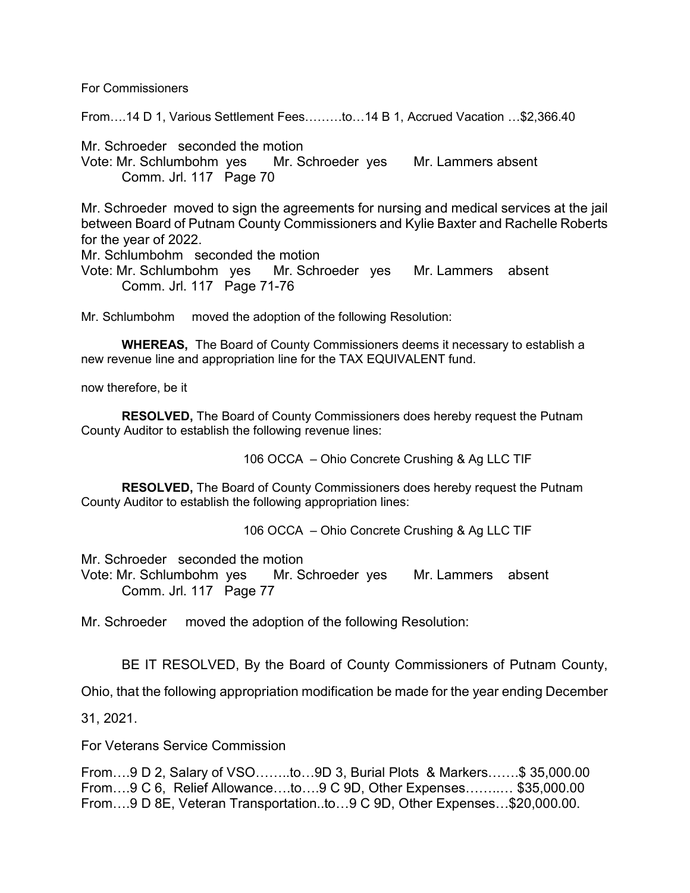For Commissioners

From….14 D 1, Various Settlement Fees………to…14 B 1, Accrued Vacation …\$2,366.40

Mr. Schroeder seconded the motion Vote: Mr. Schlumbohm yes Mr. Schroeder yes Mr. Lammers absent Comm. Jrl. 117 Page 70

Mr. Schroeder moved to sign the agreements for nursing and medical services at the jail between Board of Putnam County Commissioners and Kylie Baxter and Rachelle Roberts for the year of 2022.

Mr. Schlumbohm seconded the motion

Vote: Mr. Schlumbohm yes Mr. Schroeder yes Mr. Lammers absent Comm. Jrl. 117 Page 71-76

Mr. Schlumbohm moved the adoption of the following Resolution:

WHEREAS, The Board of County Commissioners deems it necessary to establish a new revenue line and appropriation line for the TAX EQUIVALENT fund.

now therefore, be it

RESOLVED, The Board of County Commissioners does hereby request the Putnam County Auditor to establish the following revenue lines:

106 OCCA – Ohio Concrete Crushing & Ag LLC TIF

RESOLVED, The Board of County Commissioners does hereby request the Putnam County Auditor to establish the following appropriation lines:

106 OCCA – Ohio Concrete Crushing & Ag LLC TIF

Mr. Schroeder seconded the motion Vote: Mr. Schlumbohm yes Mr. Schroeder yes Mr. Lammers absent Comm. Jrl. 117 Page 77

Mr. Schroeder moved the adoption of the following Resolution:

BE IT RESOLVED, By the Board of County Commissioners of Putnam County,

Ohio, that the following appropriation modification be made for the year ending December

31, 2021.

For Veterans Service Commission

From….9 D 2, Salary of VSO……..to…9D 3, Burial Plots & Markers…….\$ 35,000.00 From….9 C 6, Relief Allowance….to….9 C 9D, Other Expenses……..… \$35,000.00 From….9 D 8E, Veteran Transportation..to…9 C 9D, Other Expenses…\$20,000.00.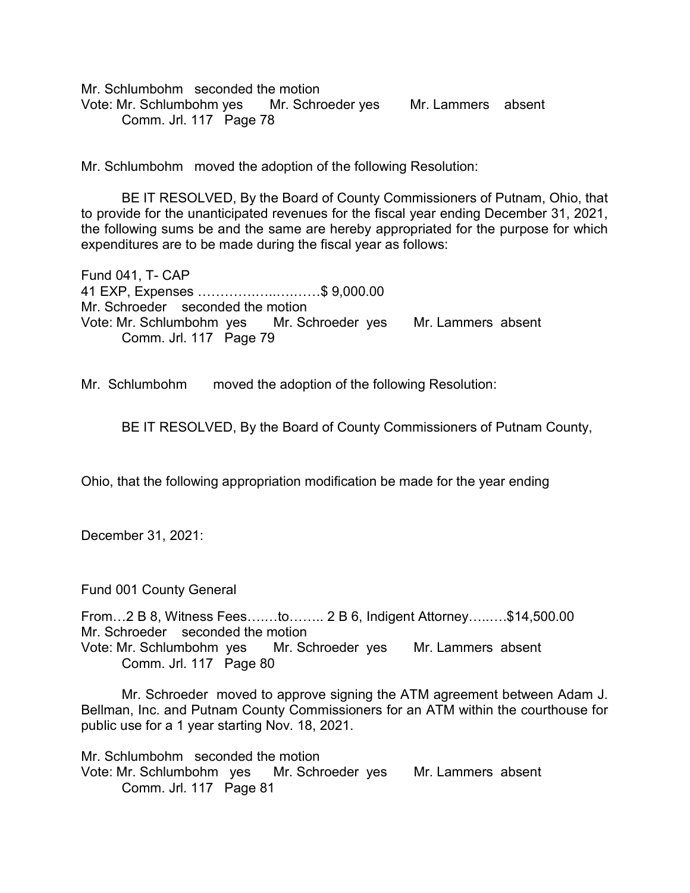Mr. Schlumbohm seconded the motion Vote: Mr. Schlumbohm yes Mr. Schroeder yes Mr. Lammers absent Comm. Jrl. 117 Page 78

Mr. Schlumbohm moved the adoption of the following Resolution:

 BE IT RESOLVED, By the Board of County Commissioners of Putnam, Ohio, that to provide for the unanticipated revenues for the fiscal year ending December 31, 2021, the following sums be and the same are hereby appropriated for the purpose for which expenditures are to be made during the fiscal year as follows:

Fund 041, T- CAP 41 EXP, Expenses ………….…..….……\$ 9,000.00 Mr. Schroeder seconded the motion Vote: Mr. Schlumbohm yes Mr. Schroeder yes Mr. Lammers absent Comm. Jrl. 117 Page 79

Mr. Schlumbohm moved the adoption of the following Resolution:

BE IT RESOLVED, By the Board of County Commissioners of Putnam County,

Ohio, that the following appropriation modification be made for the year ending

December 31, 2021:

Fund 001 County General

From…2 B 8, Witness Fees….…to…….. 2 B 6, Indigent Attorney…..….\$14,500.00 Mr. Schroeder seconded the motion Vote: Mr. Schlumbohm yes Mr. Schroeder yes Mr. Lammers absent Comm. Jrl. 117 Page 80

Mr. Schroeder moved to approve signing the ATM agreement between Adam J. Bellman, Inc. and Putnam County Commissioners for an ATM within the courthouse for public use for a 1 year starting Nov. 18, 2021.

Mr. Schlumbohm seconded the motion Vote: Mr. Schlumbohm yes Mr. Schroeder yes Mr. Lammers absent Comm. Jrl. 117 Page 81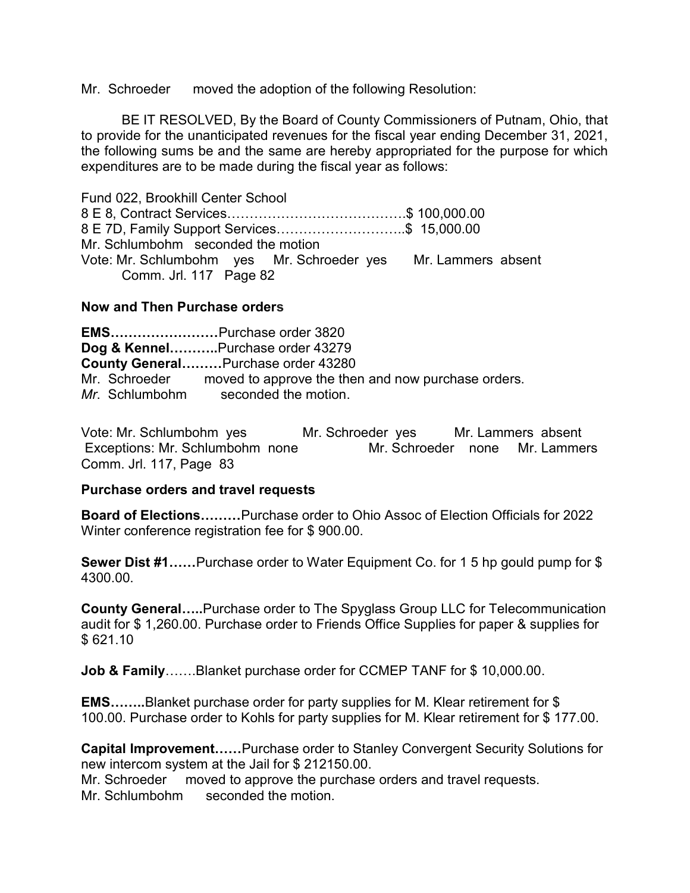Mr. Schroeder moved the adoption of the following Resolution:

 BE IT RESOLVED, By the Board of County Commissioners of Putnam, Ohio, that to provide for the unanticipated revenues for the fiscal year ending December 31, 2021, the following sums be and the same are hereby appropriated for the purpose for which expenditures are to be made during the fiscal year as follows:

Fund 022, Brookhill Center School 8 E 8, Contract Services………………………………….\$ 100,000.00 8 E 7D, Family Support Services………………………..\$ 15,000.00 Mr. Schlumbohm seconded the motion Vote: Mr. Schlumbohm yes Mr. Schroeder yes Mr. Lammers absent Comm. Jrl. 117 Page 82

## Now and Then Purchase orders

EMS……………………Purchase order 3820 Dog & Kennel...........Purchase order 43279 County General………Purchase order 43280 Mr. Schroeder moved to approve the then and now purchase orders. Mr. Schlumbohm seconded the motion.

Vote: Mr. Schlumbohm yes Mr. Schroeder yes Mr. Lammers absent Exceptions: Mr. Schlumbohm none Mr. Schroeder none Mr. Lammers Comm. Jrl. 117, Page 83

## Purchase orders and travel requests

Board of Elections………Purchase order to Ohio Assoc of Election Officials for 2022 Winter conference registration fee for \$ 900.00.

Sewer Dist #1……Purchase order to Water Equipment Co. for 1 5 hp gould pump for \$ 4300.00.

County General…..Purchase order to The Spyglass Group LLC for Telecommunication audit for \$ 1,260.00. Purchase order to Friends Office Supplies for paper & supplies for \$ 621.10

Job & Family…….Blanket purchase order for CCMEP TANF for \$10,000.00.

EMS……..Blanket purchase order for party supplies for M. Klear retirement for \$ 100.00. Purchase order to Kohls for party supplies for M. Klear retirement for \$ 177.00.

Capital Improvement……Purchase order to Stanley Convergent Security Solutions for new intercom system at the Jail for \$ 212150.00.

Mr. Schroeder moved to approve the purchase orders and travel requests. Mr. Schlumbohm seconded the motion.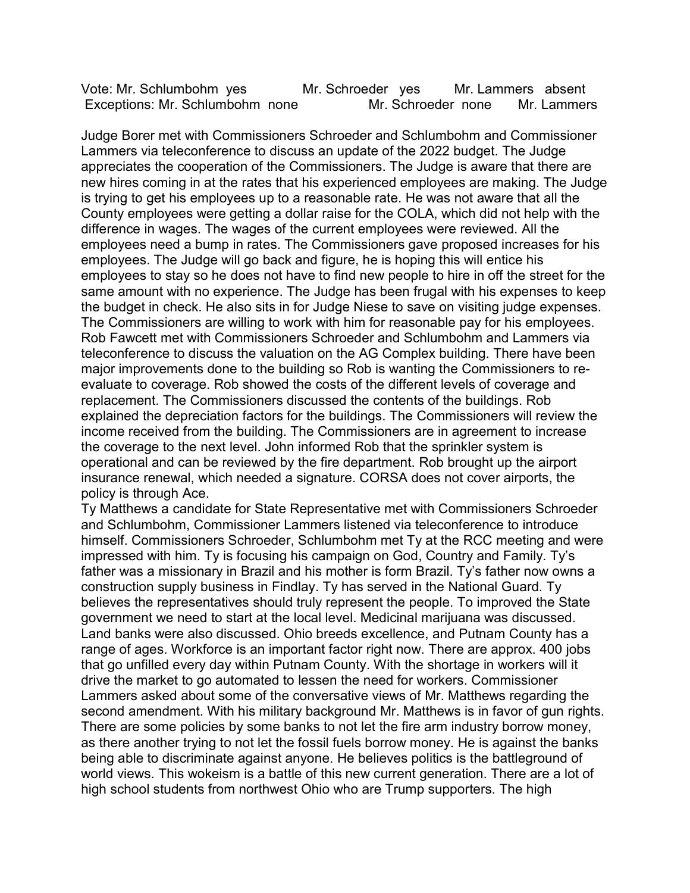Vote: Mr. Schlumbohm yes Mr. Schroeder yes Mr. Lammers absent Exceptions: Mr. Schlumbohm none Mr. Schroeder none Mr. Lammers

Judge Borer met with Commissioners Schroeder and Schlumbohm and Commissioner Lammers via teleconference to discuss an update of the 2022 budget. The Judge appreciates the cooperation of the Commissioners. The Judge is aware that there are new hires coming in at the rates that his experienced employees are making. The Judge is trying to get his employees up to a reasonable rate. He was not aware that all the County employees were getting a dollar raise for the COLA, which did not help with the difference in wages. The wages of the current employees were reviewed. All the employees need a bump in rates. The Commissioners gave proposed increases for his employees. The Judge will go back and figure, he is hoping this will entice his employees to stay so he does not have to find new people to hire in off the street for the same amount with no experience. The Judge has been frugal with his expenses to keep the budget in check. He also sits in for Judge Niese to save on visiting judge expenses. The Commissioners are willing to work with him for reasonable pay for his employees. Rob Fawcett met with Commissioners Schroeder and Schlumbohm and Lammers via teleconference to discuss the valuation on the AG Complex building. There have been major improvements done to the building so Rob is wanting the Commissioners to reevaluate to coverage. Rob showed the costs of the different levels of coverage and replacement. The Commissioners discussed the contents of the buildings. Rob explained the depreciation factors for the buildings. The Commissioners will review the income received from the building. The Commissioners are in agreement to increase the coverage to the next level. John informed Rob that the sprinkler system is operational and can be reviewed by the fire department. Rob brought up the airport insurance renewal, which needed a signature. CORSA does not cover airports, the policy is through Ace.

Ty Matthews a candidate for State Representative met with Commissioners Schroeder and Schlumbohm, Commissioner Lammers listened via teleconference to introduce himself. Commissioners Schroeder, Schlumbohm met Ty at the RCC meeting and were impressed with him. Ty is focusing his campaign on God, Country and Family. Ty's father was a missionary in Brazil and his mother is form Brazil. Ty's father now owns a construction supply business in Findlay. Ty has served in the National Guard. Ty believes the representatives should truly represent the people. To improved the State government we need to start at the local level. Medicinal marijuana was discussed. Land banks were also discussed. Ohio breeds excellence, and Putnam County has a range of ages. Workforce is an important factor right now. There are approx. 400 jobs that go unfilled every day within Putnam County. With the shortage in workers will it drive the market to go automated to lessen the need for workers. Commissioner Lammers asked about some of the conversative views of Mr. Matthews regarding the second amendment. With his military background Mr. Matthews is in favor of gun rights. There are some policies by some banks to not let the fire arm industry borrow money, as there another trying to not let the fossil fuels borrow money. He is against the banks being able to discriminate against anyone. He believes politics is the battleground of world views. This wokeism is a battle of this new current generation. There are a lot of high school students from northwest Ohio who are Trump supporters. The high